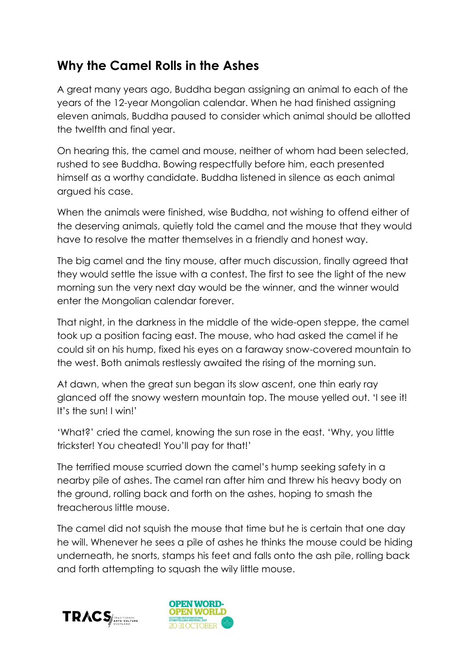## **Why the Camel Rolls in the Ashes**

A great many years ago, Buddha began assigning an animal to each of the years of the 12-year Mongolian calendar. When he had finished assigning eleven animals, Buddha paused to consider which animal should be allotted the twelfth and final year.

On hearing this, the camel and mouse, neither of whom had been selected, rushed to see Buddha. Bowing respectfully before him, each presented himself as a worthy candidate. Buddha listened in silence as each animal argued his case.

When the animals were finished, wise Buddha, not wishing to offend either of the deserving animals, quietly told the camel and the mouse that they would have to resolve the matter themselves in a friendly and honest way.

The big camel and the tiny mouse, after much discussion, finally agreed that they would settle the issue with a contest. The first to see the light of the new morning sun the very next day would be the winner, and the winner would enter the Mongolian calendar forever.

That night, in the darkness in the middle of the wide-open steppe, the camel took up a position facing east. The mouse, who had asked the camel if he could sit on his hump, fixed his eyes on a faraway snow-covered mountain to the west. Both animals restlessly awaited the rising of the morning sun.

At dawn, when the great sun began its slow ascent, one thin early ray glanced off the snowy western mountain top. The mouse yelled out. 'I see it! It's the sun! I win!'

'What?' cried the camel, knowing the sun rose in the east. 'Why, you little trickster! You cheated! You'll pay for that!'

The terrified mouse scurried down the camel's hump seeking safety in a nearby pile of ashes. The camel ran after him and threw his heavy body on the ground, rolling back and forth on the ashes, hoping to smash the treacherous little mouse.

The camel did not squish the mouse that time but he is certain that one day he will. Whenever he sees a pile of ashes he thinks the mouse could be hiding underneath, he snorts, stamps his feet and falls onto the ash pile, rolling back and forth attempting to squash the wily little mouse.